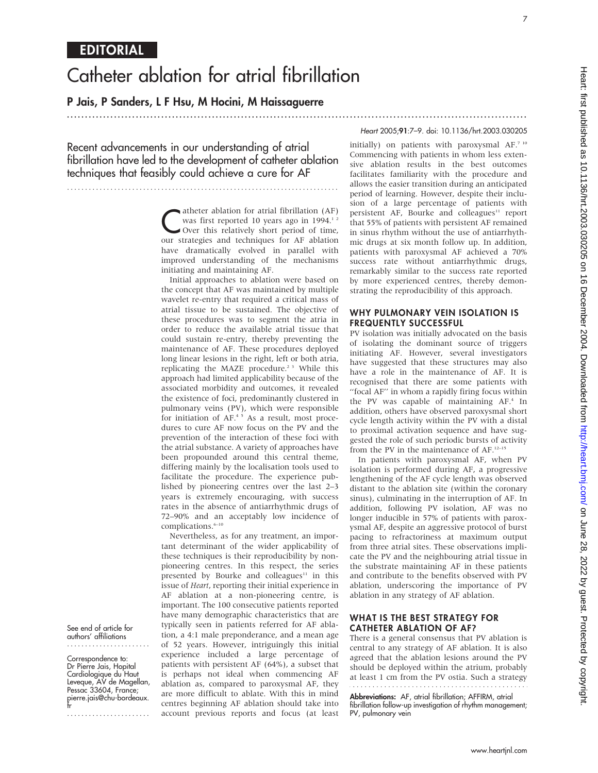# Catheter ablation for atrial fibrillation

P Jais, P Sanders, L F Hsu, M Hocini, M Haissaguerre

Recent advancements in our understanding of atrial fibrillation have led to the development of catheter ablation techniques that feasibly could achieve a cure for AF

...........................................................................

**C** atheter ablation for atrial fibrillation (AF)<br>
Was first reported 10 years ago in 1994.<sup>12</sup><br>
Over this relatively short period of time,<br>
Numeratorians and techniques for AE ablation was first reported 10 years ago in 1994.<sup>12</sup> our strategies and techniques for AF ablation have dramatically evolved in parallel with improved understanding of the mechanisms initiating and maintaining AF.

...............................................................................................................................

Initial approaches to ablation were based on the concept that AF was maintained by multiple wavelet re-entry that required a critical mass of atrial tissue to be sustained. The objective of these procedures was to segment the atria in order to reduce the available atrial tissue that could sustain re-entry, thereby preventing the maintenance of AF. These procedures deployed long linear lesions in the right, left or both atria, replicating the MAZE procedure.<sup>2 3</sup> While this approach had limited applicability because of the associated morbidity and outcomes, it revealed the existence of foci, predominantly clustered in pulmonary veins (PV), which were responsible for initiation of AF.<sup>45</sup> As a result, most procedures to cure AF now focus on the PV and the prevention of the interaction of these foci with the atrial substance. A variety of approaches have been propounded around this central theme, differing mainly by the localisation tools used to facilitate the procedure. The experience published by pioneering centres over the last 2–3 years is extremely encouraging, with success rates in the absence of antiarrhythmic drugs of 72–90% and an acceptably low incidence of complications.<sup>6-10</sup>

Nevertheless, as for any treatment, an important determinant of the wider applicability of these techniques is their reproducibility by nonpioneering centres. In this respect, the series presented by Bourke and colleagues<sup>11</sup> in this issue of Heart, reporting their initial experience in AF ablation at a non-pioneering centre, is important. The 100 consecutive patients reported have many demographic characteristics that are typically seen in patients referred for AF ablation, a 4:1 male preponderance, and a mean age of 52 years. However, intriguingly this initial experience included a large percentage of patients with persistent AF (64%), a subset that is perhaps not ideal when commencing AF ablation as, compared to paroxysmal AF, they are more difficult to ablate. With this in mind centres beginning AF ablation should take into account previous reports and focus (at least

#### Heart 2005;91:7–9. doi: 10.1136/hrt.2003.030205

initially) on patients with paroxysmal AF.7 10 Commencing with patients in whom less extensive ablation results in the best outcomes facilitates familiarity with the procedure and allows the easier transition during an anticipated period of learning. However, despite their inclusion of a large percentage of patients with persistent AF, Bourke and colleagues $11$  report that 55% of patients with persistent AF remained in sinus rhythm without the use of antiarrhythmic drugs at six month follow up. In addition, patients with paroxysmal AF achieved a 70% success rate without antiarrhythmic drugs, remarkably similar to the success rate reported by more experienced centres, thereby demonstrating the reproducibility of this approach.

## WHY PULMONARY VEIN ISOLATION IS FREQUENTLY SUCCESSFUL

PV isolation was initially advocated on the basis of isolating the dominant source of triggers initiating AF. However, several investigators have suggested that these structures may also have a role in the maintenance of AF. It is recognised that there are some patients with "focal AF" in whom a rapidly firing focus within the PV was capable of maintaining AF.4 In addition, others have observed paroxysmal short cycle length activity within the PV with a distal to proximal activation sequence and have suggested the role of such periodic bursts of activity from the PV in the maintenance of AF.<sup>12-15</sup>

In patients with paroxysmal AF, when PV isolation is performed during AF, a progressive lengthening of the AF cycle length was observed distant to the ablation site (within the coronary sinus), culminating in the interruption of AF. In addition, following PV isolation, AF was no longer inducible in 57% of patients with paroxysmal AF, despite an aggressive protocol of burst pacing to refractoriness at maximum output from three atrial sites. These observations implicate the PV and the neighbouring atrial tissue in the substrate maintaining AF in these patients and contribute to the benefits observed with PV ablation, underscoring the importance of PV ablation in any strategy of AF ablation.

## WHAT IS THE BEST STRATEGY FOR CATHETER ABLATION OF AF?

There is a general consensus that PV ablation is central to any strategy of AF ablation. It is also agreed that the ablation lesions around the PV should be deployed within the atrium, probably at least 1 cm from the PV ostia. Such a strategy

Abbreviations: AF, atrial fibrillation; AFFIRM, atrial fibrillation follow-up investigation of rhythm management; PV, pulmonary vein

See end of article for authors' affiliations .......................

Correspondence to: Dr Pierre Jais, Hopital Cardiologique du Haut Leveque, AV de Magellan, Pessac 33604, France; pierre.jais@chu-bordeaux. fr .......................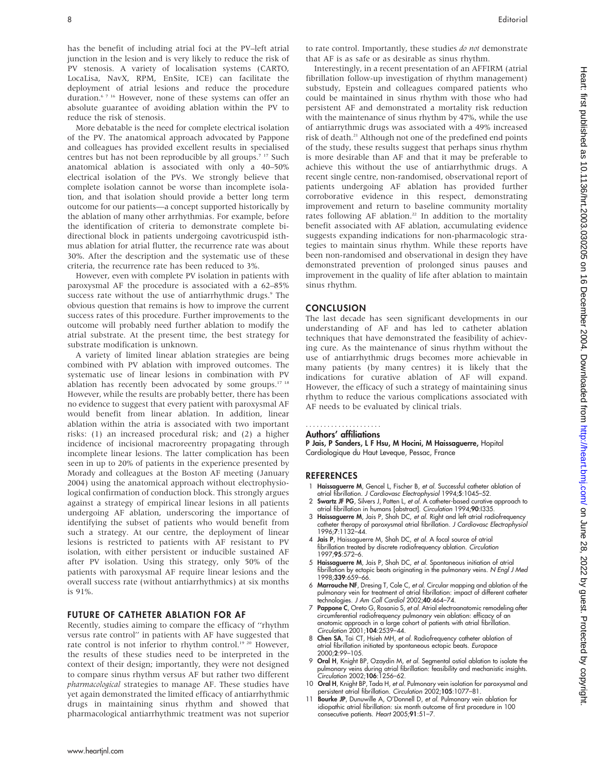has the benefit of including atrial foci at the PV–left atrial junction in the lesion and is very likely to reduce the risk of PV stenosis. A variety of localisation systems (CARTO, LocaLisa, NavX, RPM, EnSite, ICE) can facilitate the deployment of atrial lesions and reduce the procedure duration.<sup>6 7 16</sup> However, none of these systems can offer an absolute guarantee of avoiding ablation within the PV to reduce the risk of stenosis.

More debatable is the need for complete electrical isolation of the PV. The anatomical approach advocated by Pappone and colleagues has provided excellent results in specialised centres but has not been reproducible by all groups.<sup>7 17</sup> Such anatomical ablation is associated with only a 40–50% electrical isolation of the PVs. We strongly believe that complete isolation cannot be worse than incomplete isolation, and that isolation should provide a better long term outcome for our patients—a concept supported historically by the ablation of many other arrhythmias. For example, before the identification of criteria to demonstrate complete bidirectional block in patients undergoing cavotricuspid isthmus ablation for atrial flutter, the recurrence rate was about 30%. After the description and the systematic use of these criteria, the recurrence rate has been reduced to 3%.

However, even with complete PV isolation in patients with paroxysmal AF the procedure is associated with a 62–85% success rate without the use of antiarrhythmic drugs.<sup>9</sup> The obvious question that remains is how to improve the current success rates of this procedure. Further improvements to the outcome will probably need further ablation to modify the atrial substrate. At the present time, the best strategy for substrate modification is unknown.

A variety of limited linear ablation strategies are being combined with PV ablation with improved outcomes. The systematic use of linear lesions in combination with PV ablation has recently been advocated by some groups.<sup>17 18</sup> However, while the results are probably better, there has been no evidence to suggest that every patient with paroxysmal AF would benefit from linear ablation. In addition, linear ablation within the atria is associated with two important risks: (1) an increased procedural risk; and (2) a higher incidence of incisional macroreentry propagating through incomplete linear lesions. The latter complication has been seen in up to 20% of patients in the experience presented by Morady and colleagues at the Boston AF meeting (January 2004) using the anatomical approach without electrophysiological confirmation of conduction block. This strongly argues against a strategy of empirical linear lesions in all patients undergoing AF ablation, underscoring the importance of identifying the subset of patients who would benefit from such a strategy. At our centre, the deployment of linear lesions is restricted to patients with AF resistant to PV isolation, with either persistent or inducible sustained AF after PV isolation. Using this strategy, only 50% of the patients with paroxysmal AF require linear lesions and the overall success rate (without antiarrhythmics) at six months is 91%.

## FUTURE OF CATHETER ABLATION FOR AF

Recently, studies aiming to compare the efficacy of ''rhythm versus rate control'' in patients with AF have suggested that rate control is not inferior to rhythm control.<sup>19 20</sup> However, the results of these studies need to be interpreted in the context of their design; importantly, they were not designed to compare sinus rhythm versus AF but rather two different pharmacological strategies to manage AF. These studies have yet again demonstrated the limited efficacy of antiarrhythmic drugs in maintaining sinus rhythm and showed that pharmacological antiarrhythmic treatment was not superior to rate control. Importantly, these studies do not demonstrate that AF is as safe or as desirable as sinus rhythm.

Interestingly, in a recent presentation of an AFFIRM (atrial fibrillation follow-up investigation of rhythm management) substudy, Epstein and colleagues compared patients who could be maintained in sinus rhythm with those who had persistent AF and demonstrated a mortality risk reduction with the maintenance of sinus rhythm by 47%, while the use of antiarrythmic drugs was associated with a 49% increased risk of death.<sup>21</sup> Although not one of the predefined end points of the study, these results suggest that perhaps sinus rhythm is more desirable than AF and that it may be preferable to achieve this without the use of antiarrhythmic drugs. A recent single centre, non-randomised, observational report of patients undergoing AF ablation has provided further corroborative evidence in this respect, demonstrating improvement and return to baseline community mortality rates following AF ablation.<sup>22</sup> In addition to the mortality benefit associated with AF ablation, accumulating evidence suggests expanding indications for non-pharmacologic strategies to maintain sinus rhythm. While these reports have been non-randomised and observational in design they have demonstrated prevention of prolonged sinus pauses and improvement in the quality of life after ablation to maintain sinus rhythm.

## **CONCLUSION**

The last decade has seen significant developments in our understanding of AF and has led to catheter ablation techniques that have demonstrated the feasibility of achieving cure. As the maintenance of sinus rhythm without the use of antiarrhythmic drugs becomes more achievable in many patients (by many centres) it is likely that the indications for curative ablation of AF will expand. However, the efficacy of such a strategy of maintaining sinus rhythm to reduce the various complications associated with AF needs to be evaluated by clinical trials.

#### Authors' affiliations .....................

P Jais, P Sanders, L F Hsu, M Hocini, M Haissaguerre, Hopital Cardiologique du Haut Leveque, Pessac, France

## REFERENCES

- 1 Haissaguerre M, Gencel L, Fischer B, et al. Successful catheter ablation of atrial fibrillation. J Cardiovasc Electrophysiol 1994;5:1045–52.
- 2 Swartz JF PG, Silvers J, Patten L, et al. A catheter-based curative approach to atrial fibrillation in humans [abstract]. Circulation 1994;90:I335.
- 3 Haissaguerre M, Jais P, Shah DC, et al. Right and left atrial radiofrequency catheter therapy of paroxysmal atrial fibrillation. J Cardiovasc Electrophysiol 1996;7:1132–44.
- 4 Jais P, Haissaguerre M, Shah DC, et al. A focal source of atrial fibrillation treated by discrete radiofrequency ablation. Circulation 1997;95:572–6.
- 5 **Haissaguerre M**, Jais P, Shah DC, *et al.* Spontaneous initiation of atrial<br>fibrillation by ectopic beats originating in the pulmonary veins. N Engl J Mea 1998;339:659–66.
- 6 Marrouche NF, Dresing T, Cole C, et al. Circular mapping and ablation of the pulmonary vein for treatment of atrial fibrillation: impact of different catheter technologies. J Am Coll Cardiol 2002;40:464–74.
- 7 Pappone C, Oreto G, Rosanio S, et al. Atrial electroanatomic remodeling after circumferential radiofrequency pulmonary vein ablation: efficacy of an anatomic approach in a large cohort of patients with atrial fibrillation. Circulation 2001;104:2539–44.
- 8 Chen SA, Tai CT, Hsieh MH, et al. Radiofrequency catheter ablation of atrial fibrillation initiated by spontaneous ectopic beats. Europace 2000;2:99–105.
- 9 Oral H, Knight BP, Ozaydin M, et al. Segmental ostial ablation to isolate the pulmonary veins during atrial fibrillation: feasibility and mechanistic insights.<br>*Circulation* 2002;**106**:1256–62.
- 10 **Oral H**, Knight BP, Tada H, et al. Pulmonary vein isolation for paroxysmal and<br>persistent atrial fibrillation. *Circulation* 2002;**105**:1077–81.<br>11 **Bourke JP**, Dunuwille A, O'Donnell D, *et al.* Pulmonary vein ablatio
- idiopathic atrial fibrillation: six month outcome of first procedure in 100 consecutive patients. Heart 2005;91:51-7.

Heatt: first published as 10.1136/htt.2003.030205 on 16 December 2004. Downloaded from http://heart.bmj.com/ on June 28, 2022 by guest. Protected by copyright on June 28, 2022 by guest. Protected by copyright. <http://heart.bmj.com/> Heart: first published as 10.1136/hrt.2003.030205 on 16 December 2004. Downloaded from